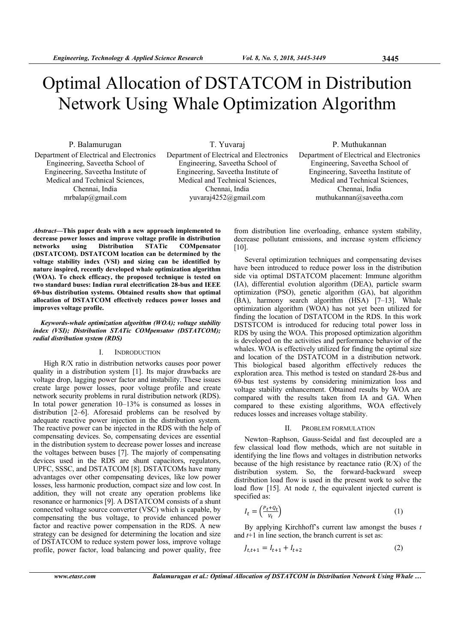# Optimal Allocation of DSTATCOM in Distribution Network Using Whale Optimization Algorithm

P. Balamurugan Department of Electrical and Electronics Engineering, Saveetha School of Engineering, Saveetha Institute of Medical and Technical Sciences, Chennai, India mrbalap@gmail.com

T. Yuvaraj Department of Electrical and Electronics Engineering, Saveetha School of Engineering, Saveetha Institute of Medical and Technical Sciences, Chennai, India yuvaraj4252@gmail.com

## P. Muthukannan

Department of Electrical and Electronics Engineering, Saveetha School of Engineering, Saveetha Institute of Medical and Technical Sciences, Chennai, India muthukannan@saveetha.com

*Abstract***—This paper deals with a new approach implemented to decrease power losses and improve voltage profile in distribution networks using Distribution STATic COMpensator (DSTATCOM). DSTATCOM location can be determined by the voltage stability index (VSI) and sizing can be identified by nature inspired, recently developed whale optimization algorithm (WOA). To check efficacy, the proposed technique is tested on two standard buses: Indian rural electrification 28-bus and IEEE 69-bus distribution systems. Obtained results show that optimal allocation of DSTATCOM effectively reduces power losses and improves voltage profile.** 

### *Keywords-whale optimization algorithm (WOA); voltage stability index (VSI); Distribution STATic COMpensator (DSTATCOM); radial distribution system (RDS)*

## I. INDRODUCTION

High R/X ratio in distribution networks causes poor power quality in a distribution system [1]. Its major drawbacks are voltage drop, lagging power factor and instability. These issues create large power losses, poor voltage profile and create network security problems in rural distribution network (RDS). In total power generation 10–13% is consumed as losses in distribution [2–6]. Aforesaid problems can be resolved by adequate reactive power injection in the distribution system. The reactive power can be injected in the RDS with the help of compensating devices. So, compensating devices are essential in the distribution system to decrease power losses and increase the voltages between buses [7]. The majorly of compensating devices used in the RDS are shunt capacitors, regulators, UPFC, SSSC, and DSTATCOM [8]. DSTATCOMs have many advantages over other compensating devices, like low power losses, less harmonic production, compact size and low cost. In addition, they will not create any operation problems like resonance or harmonics [9]. A DSTATCOM consists of a shunt connected voltage source converter (VSC) which is capable, by compensating the bus voltage, to provide enhanced power factor and reactive power compensation in the RDS. A new strategy can be designed for determining the location and size of DSTATCOM to reduce system power loss, improve voltage profile, power factor, load balancing and power quality, free

from distribution line overloading, enhance system stability, decrease pollutant emissions, and increase system efficiency  $[10]$ .

Several optimization techniques and compensating devises have been introduced to reduce power loss in the distribution side via optimal DSTATCOM placement: Immune algorithm (IA), differential evolution algorithm (DEA), particle swarm optimization (PSO), genetic algorithm (GA), bat algorithm (BA), harmony search algorithm (HSA) [7–13]. Whale optimization algorithm (WOA) has not yet been utilized for finding the location of DSTATCOM in the RDS. In this work DSTSTCOM is introduced for reducing total power loss in RDS by using the WOA. This proposed optimization algorithm is developed on the activities and performance behavior of the whales. WOA is effectively utilized for finding the optimal size and location of the DSTATCOM in a distribution network. This biological based algorithm effectively reduces the exploration area. This method is tested on standard 28-bus and 69-bus test systems by considering minimization loss and voltage stability enhancement. Obtained results by WOA are compared with the results taken from IA and GA. When compared to these existing algorithms, WOA effectively reduces losses and increases voltage stability.

#### II. PROBLEM FORMULATION

Newton–Raphson, Gauss-Seidal and fast decoupled are a few classical load flow methods, which are not suitable in identifying the line flows and voltages in distribution networks because of the high resistance by reactance ratio (R/X) of the distribution system. So, the forward-backward sweep distribution load flow is used in the present work to solve the load flow [15]. At node *t*, the equivalent injected current is specified as:

$$
I_t = \left(\frac{P_t + Q_t}{V_t}\right) \tag{1}
$$

By applying Kirchhoff's current law amongst the buses *t*  and *t*+1 in line section, the branch current is set as:

$$
J_{t,t+1} = I_{t+1} + I_{t+2}
$$
 (2)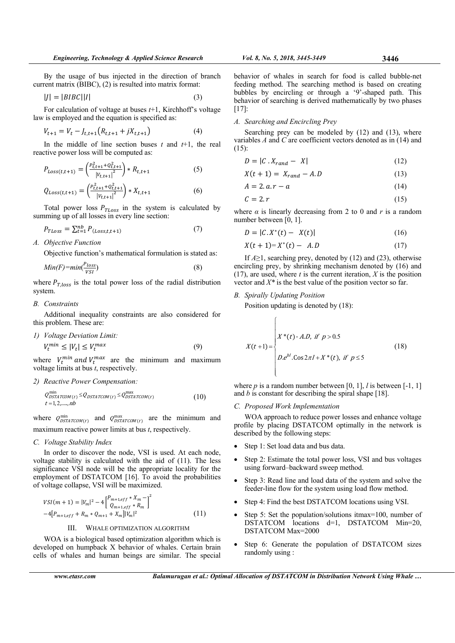By the usage of bus injected in the direction of branch current matrix (BIBC), (2) is resulted into matrix format:

$$
|J| = |BIBC||I| \tag{3}
$$

For calculation of voltage at buses *t*+1, Kirchhoff's voltage law is employed and the equation is specified as:

$$
V_{t+1} = V_t - J_{t,t+1} \left( R_{t,t+1} + jX_{t,t+1} \right) \tag{4}
$$

In the middle of line section buses *t* and *t*+1, the real reactive power loss will be computed as:

$$
P_{Loss(t,t+1)} = \left(\frac{P_{t,t+1}^2 + Q_{t,t+1}^2}{|V_{t,t+1}|^2}\right) * R_{t,t+1}
$$
\n
$$
Q_{Loss(t,t+1)} = \left(\frac{P_{t,t+1}^2 + Q_{t,t+1}^2}{|V_{t,t+1}|^2}\right) * X_{t,t+1}
$$
\n(6)

Total power loss  $P_{TLoss}$  in the system is calculated by summing up of all losses in every line section:

$$
P_{TLoss} = \sum_{t=1}^{nb} P_{(Loss, t, t+1)} \tag{7}
$$

*A. Objective Function* 

Objective function's mathematical formulation is stated as:

$$
Min(F) = min(\frac{P_{loss}}{VSI})
$$
\n(8)

where  $P_{T,loss}$  is the total power loss of the radial distribution system.

#### *B. Constraints*

Additional inequality constraints are also considered for this problem. These are:

*1) Voltage Deviation Limit:*   $V_t^{min} \leq |V_t| \leq V_t^*$  $\max$  (9)

where  $V_t^{min}$  and  $V_t^{max}$  are the minimum and maximum voltage limits at bus *t*, respectively.

## *2) Reactive Power Compensation:*

$$
Q_{DSTATCOM(t)}^{\min} \leq Q_{DSTATCOM(t)} \leq Q_{DSTATCOM(t)}^{\max}
$$
  

$$
t = 1, 2, \dots, nb
$$
 (10)

where  $Q_{DSTATCOM(t)}^{\text{min}}$  and  $Q_{DSTATCOM(t)}^{\text{max}}$  are the minimum and maximum reactive power limits at bus *t*, respectively.

### *C. Voltage Stability Index*

In order to discover the node, VSI is used. At each node, voltage stability is calculated with the aid of (11). The less significance VSI node will be the appropriate locality for the employment of DSTATCOM [16]. To avoid the probabilities of voltage collapse, VSI will be maximized.

$$
VSI(m+1) = |V_m|^2 - 4\left[\frac{P_{m+1,eff} * X_m}{Q_{m+1,eff} * R_m}\right]^2
$$
  
-4 $[P_{m+1,eff} + R_m * Q_{m+1} + X_m]|V_m|^2$  (11)

#### III. WHALE OPTIMIZATION ALGORITHM

WOA is a biological based optimization algorithm which is developed on humpback X behavior of whales. Certain brain cells of whales and human beings are similar. The special behavior of whales in search for food is called bubble-net feeding method. The searching method is based on creating bubbles by encircling or through a '9'-shaped path. This behavior of searching is derived mathematically by two phases [17]:

## *A. Searching and Encircling Prey*

Searching prey can be modeled by (12) and (13), where variables *A* and *C* are coefficient vectors denoted as in (14) and  $(15)$ 

$$
D = |C \cdot X_{rand} - X| \tag{12}
$$

$$
X(t+1) = X_{rand} - A.D \tag{13}
$$

$$
A = 2 \cdot a \cdot r - a \tag{14}
$$

$$
C = 2.r \tag{15}
$$

where  $\alpha$  is linearly decreasing from 2 to 0 and  $r$  is a random number between [0, 1].

$$
D = |C \cdot X^*(t) - X(t)| \tag{16}
$$

$$
X(t+1)=X^*(t) - A.D \tag{17}
$$

If  $A \ge 1$ , searching prey, denoted by (12) and (23), otherwise encircling prey, by shrinking mechanism denoted by (16) and (17), are used, where  $t$  is the current iteration,  $\hat{X}$  is the position vector and *X\** is the best value of the position vector so far.

## *B. Spirally Updating Position*

Position updating is denoted by (18):

$$
X(t+1) = \begin{cases} X^*(t) - A.D, \text{ if } p > 0.5\\ D.e^{bl}.\cos 2\pi I + X^*(t), \text{ if } p \le 5 \end{cases}
$$
 (18)

where  $p$  is a random number between [0, 1],  $l$  is between [-1, 1] and *b* is constant for describing the spiral shape [18].

#### *C. Proposed Work Implementation*

WOA approach to reduce power losses and enhance voltage profile by placing DSTATCOM optimally in the network is described by the following steps:

- Step 1: Set load data and bus data.
- Step 2: Estimate the total power loss, VSI and bus voltages using forward–backward sweep method.
- Step 3: Read line and load data of the system and solve the feeder-line flow for the system using load flow method.
- Step 4: Find the best DSTATCOM locations using VSI.
- Step 5: Set the population/solutions itmax=100, number of DSTATCOM locations d=1, DSTATCOM Min=20, DSTATCOM Max=2000
- Step 6: Generate the population of DSTATCOM sizes randomly using :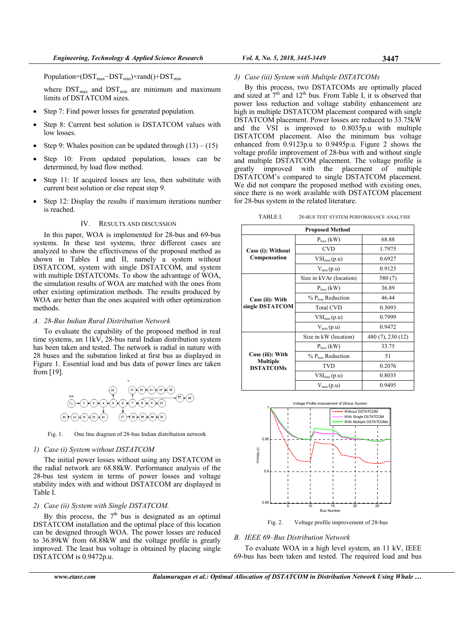Population= $(DST_{max}-DST_{min})\times rand()+DST_{min}$ 

where  $DST_{\text{max}}$  and  $DST_{\text{min}}$  are minimum and maximum limits of DSTATCOM sizes.

- Step 7: Find power losses for generated population.
- Step 8: Current best solution is DSTATCOM values with low losses.
- Step 9: Whales position can be updated through  $(13) (15)$
- Step 10: From updated population, losses can be determined, by load flow method.
- Step 11: If acquired losses are less, then substitute with current best solution or else repeat step 9.
- Step 12: Display the results if maximum iterations number is reached.

#### IV. RESULTS AND DISCUSSION

In this paper, WOA is implemented for 28-bus and 69-bus systems. In these test systems, three different cases are analyzed to show the effectiveness of the proposed method as shown in Tables I and II, namely a system without DSTATCOM, system with single DSTATCOM, and system with multiple DSTATCOMs. To show the advantage of WOA, the simulation results of WOA are matched with the ones from other existing optimization methods. The results produced by WOA are better than the ones acquired with other optimization methods.

#### *A. 28-Bus Indian Rural Distribution Network*

To evaluate the capability of the proposed method in real time systems, an 11kV, 28-bus rural Indian distribution system has been taken and tested. The network is radial in nature with 28 buses and the substation linked at first bus as displayed in Figure 1. Essential load and bus data of power lines are taken from [19].



Fig. 1. One line diagram of 28-bus Indian distribution network

#### *1) Case (i) System without DSTATCOM*

The initial power losses without using any DSTATCOM in the radial network are 68.88kW. Performance analysis of the 28-bus test system in terms of power losses and voltage stability index with and without DSTATCOM are displayed in Table I.

## *2) Case (ii) System with Single DSTATCOM.*

By this process, the  $7<sup>th</sup>$  bus is designated as an optimal DSTATCOM installation and the optimal place of this location can be designed through WOA. The power losses are reduced to 36.89kW from 68.88kW and the voltage profile is greatly improved. The least bus voltage is obtained by placing single DSTATCOM is 0.9472p.u.

#### *3) Case (iii) System with Multiple DSTATCOMs*

By this process, two DSTATCOMs are optimally placed and sized at  $7<sup>th</sup>$  and  $12<sup>th</sup>$  bus. From Table I, it is observed that power loss reduction and voltage stability enhancement are high in multiple DSTATCOM placement compared with single DSTATCOM placement. Power losses are reduced to 33.75kW and the VSI is improved to 0.8035p.u with multiple DSTATCOM placement. Also the minimum bus voltage enhanced from 0.9123p.u to 0.9495p.u. Figure 2 shows the voltage profile improvement of 28-bus with and without single and multiple DSTATCOM placement. The voltage profile is greatly improved with the placement of multiple DSTATCOM's compared to single DSTATCOM placement. We did not compare the proposed method with existing ones, since there is no work available with DSTATCOM placement for 28-bus system in the related literature.

| <b>Proposed Method</b>                           |                               |                   |  |  |  |
|--------------------------------------------------|-------------------------------|-------------------|--|--|--|
| Case (i): Without<br>Compensation                | $P_{loss}$ (kW)               | 68.88             |  |  |  |
|                                                  | <b>CVD</b>                    | 1.7975            |  |  |  |
|                                                  | $VSI_{min}(p.u)$              | 0.6927            |  |  |  |
|                                                  | $V_{min}(p.u)$                | 0.9123            |  |  |  |
| Case (ii): With<br>single DSTATCOM               | Size in kVAr (location)       | 580 (7)           |  |  |  |
|                                                  | $P_{loss}$ (kW)               | 36.89             |  |  |  |
|                                                  | % P <sub>loss</sub> Reduction | 46.44             |  |  |  |
|                                                  | <b>Total CVD</b>              | 0.3093            |  |  |  |
|                                                  | $VSI_{min}(p.u)$              | 0.7999            |  |  |  |
|                                                  | $V_{min}(p.u)$                | 0.9472            |  |  |  |
| Case (iii): With<br>Multiple<br><b>DSTATCOMs</b> | Size in kW (location)         | 480 (7), 230 (12) |  |  |  |
|                                                  | $P_{loss}$ (kW)               | 33.75             |  |  |  |
|                                                  | % P <sub>loss</sub> Reduction | 51                |  |  |  |
|                                                  | TVD                           | 0.2076            |  |  |  |
|                                                  | $VSI_{min}(p.u)$              | 0.8035            |  |  |  |
|                                                  | $V_{min}(p.u)$                | 0.9495            |  |  |  |



Fig. 2. Voltage profile improvement of 28-bus

#### *B. IEEE 69–Bus Distribution Network*

To evaluate WOA in a high level system, an 11 kV, IEEE 69-bus has been taken and tested. The required load and bus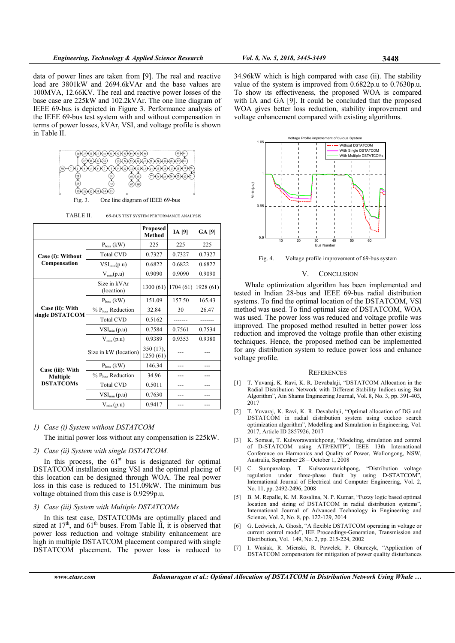data of power lines are taken from [9]. The real and reactive load are 3801kW and 2694.6kVAr and the base values are 100MVA, 12.66KV. The real and reactive power losses of the base case are 225kW and 102.2kVAr. The one line diagram of IEEE 69-bus is depicted in Figure 3. Performance analysis of the IEEE 69-bus test system with and without compensation in terms of power losses, kVAr, VSI, and voltage profile is shown in Table II.



TABLE II. 69-BUS TEST SYSTEM PERFORMANCE ANALYSIS

|                                                         |                               | <b>Proposed</b><br><b>Method</b> | <b>IA</b> [9] | <b>GA [9]</b> |
|---------------------------------------------------------|-------------------------------|----------------------------------|---------------|---------------|
| Case (i): Without<br>Compensation                       | $P_{loss}$ (kW)               | 225                              | 225           | 225           |
|                                                         | <b>Total CVD</b>              | 0.7327                           | 0.7327        | 0.7327        |
|                                                         | $VSI_{min}(p.u)$              | 0.6822                           | 0.6822        | 0.6822        |
|                                                         | $V_{min}(p.u)$                | 0.9090                           | 0.9090        | 0.9090        |
| Case (ii): With<br>single DSTATCOM                      | Size in kVAr<br>(location)    | 1300 (61)                        | 1704(61)      | 1928 (61)     |
|                                                         | $P_{loss}$ (kW)               | 151.09                           | 157.50        | 165.43        |
|                                                         | % P <sub>loss</sub> Reduction | 32.84                            | 30            | 26.47         |
|                                                         | <b>Total CVD</b>              | 0.5162                           |               |               |
|                                                         | $VSI_{min}(p.u)$              | 0.7584                           | 0.7561        | 0.7534        |
|                                                         | $V_{min}(p.u)$                | 0.9389                           | 0.9353        | 0.9380        |
| Case (iii): With<br><b>Multiple</b><br><b>DSTATCOMs</b> | Size in kW (location)         | 350(17),<br>1250 (61)            |               |               |
|                                                         | $Ploss$ (kW)                  | 146.34                           |               |               |
|                                                         | % P <sub>loss</sub> Reduction | 34.96                            |               |               |
|                                                         | <b>Total CVD</b>              | 0.5011                           |               |               |
|                                                         | $VSI_{min}(p.u)$              | 0.7630                           |               |               |
|                                                         | $V_{min}(p.u)$                | 0.9417                           |               |               |

#### *1) Case (i) System without DSTATCOM*

The initial power loss without any compensation is 225kW.

## *2) Case (ii) System with single DSTATCOM.*

In this process, the  $61<sup>st</sup>$  bus is designated for optimal DSTATCOM installation using VSI and the optimal placing of this location can be designed through WOA. The real power loss in this case is reduced to 151.09kW. The minimum bus voltage obtained from this case is 0.9299p.u.

## *3) Case (iii) System with Multiple DSTATCOMs*

In this test case, DSTATCOMs are optimally placed and sized at  $17<sup>th</sup>$ , and  $61<sup>th</sup>$  buses. From Table II, it is observed that power loss reduction and voltage stability enhancement are high in multiple DSTATCOM placement compared with single DSTATCOM placement. The power loss is reduced to 34.96kW which is high compared with case (ii). The stability value of the system is improved from 0.6822p.u to 0.7630p.u. To show its effectiveness, the proposed WOA is compared with IA and GA [9]. It could be concluded that the proposed WOA gives better loss reduction, stability improvement and voltage enhancement compared with existing algorithms.



Fig. 4. Voltage profile improvement of 69-bus system

#### V. CONCLUSION

Whale optimization algorithm has been implemented and tested in Indian 28-bus and IEEE 69-bus radial distribution systems. To find the optimal location of the DSTATCOM, VSI method was used. To find optimal size of DSTATCOM, WOA was used. The power loss was reduced and voltage profile was improved. The proposed method resulted in better power loss reduction and improved the voltage profile than other existing techniques. Hence, the proposed method can be implemented for any distribution system to reduce power loss and enhance voltage profile.

#### **REFERENCES**

- [1] T. Yuvaraj, K. Ravi, K. R. Devabalaji, "DSTATCOM Allocation in the Radial Distribution Network with Different Stability Indices using Bat Algorithm", Ain Shams Engineering Journal, Vol. 8, No. 3, pp. 391-403, 2017
- [2] T. Yuvaraj, K. Ravi, K. R. Devabalaji, "Optimal allocation of DG and DSTATCOM in radial distribution system using cuckoo search optimization algorithm", Modelling and Simulation in Engineering, Vol. 2017, Article ID 2857926, 2017
- [3] K. Somsai, T. Kulworawanichpong, "Modeling, simulation and control of D-STATCOM using ATP/EMTP", IEEE 13th International Conference on Harmonics and Quality of Power, Wollongong, NSW, Australia, September 28 – October 1, 2008
- [4] C. Sumpavakup, T. Kulworawanichpong, "Distribution voltage regulation under three-phase fault by using D-STATCOM", International Journal of Electrical and Computer Engineering, Vol. 2, No. 11, pp. 2492-2496, 2008
- [5] B. M. Repalle, K. M. Rosalina, N. P. Kumar, "Fuzzy logic based optimal location and sizing of DSTATCOM in radial distribution systems", International Journal of Advanced Technology in Engineering and Science, Vol. 2, No. 8, pp. 122-129, 2014
- [6] G. Ledwich, A. Ghosh, "A flexible DSTATCOM operating in voltage or current control mode", IEE Proceedings-Generation, Transmission and Distribution, Vol. 149, No. 2, pp. 215-224, 2002
- [7] I. Wasiak, R. Mienski, R. Pawelek, P. Gburczyk, "Application of DSTATCOM compensators for mitigation of power quality disturbances